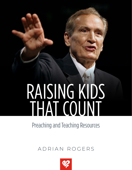# RAISING KIDS THAT COUNT

## Preaching and Teaching Resources

### ADRIAN ROGERS

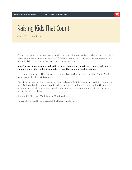

ADRIAN ROGERS

We are grateful for the opportunity to provide this transcript produced from a live sermon preached by Adrian Rogers while serving as pastor of Bellevue Baptist Church in Memphis, Tennessee. This transcript is intended for your personal, non-commercial use.

#### **Note: Though it has been transcribed from a version used for broadcast, it may contain stutters, stammers, and other authentic remarks as would be common in a live setting.**

In order to ensure our ability to be good stewards of Adrian Rogers' messages, Love Worth Finding has reserved all rights to this content.

Except for your personal, non-commercial use and except for brief quotations in printed reviews, no part of this publication may be reproduced, stored in a retrieval system, or transmitted in any form or by any means—electronic, mechanical, photocopy, recording, or any other—without the prior permission of the publisher.

Copyright © 2022 Love Worth Finding Ministries, Inc.

Transcripts are used by permission of the Rogers Family Trust.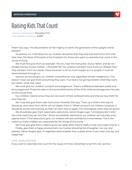

**SERMON REFERENCE:** Proverbs 1:7-9 **LWF SERMON NUMBER:** #2331

Psalm 112:2 says, "His descendants will be mighty on earth; the generation of the upright will be blessed."

As parents, our chief desire for our children should be that they love God and honor Him with their lives. The Book of Proverbs is full of wisdom for those who want to raise kids that count in the cause of Christ.

We must first give them an example: "My son, hear the instruction of your father, and do not forsake the law of your mother…" (Proverbs 1:8). Our children will learn more from our lifestyle than they will learn from our words. Good character is not so much taught as it is caught; it must be demonstrated through us.

Second, we should give our children unconditional love, regardless of their misbehavior. This doesn't mean we give them everything they want. True love is not giving children what they want, but rather, what they need.

We must give our children constant encouragement. There's a difference between praise and encouragement. Praise focuses on the accomplishments of the child, while encouragement focuses on the actual child.

Our children need to know they are not a sum of their achievements, and that we love them for who they are.

We must also give them wise instruction. Proverbs 22:6 says, "Train up a child in the way he should go, and when he is old he will not depart from it." When we teach our children Scripture, it should be joined with training, so they can learn how to apply it for themselves when they are grown.

We should also give them reasonable restrictions. Adrian Rogers says, "Limitations don't bind the child; really they set him free." When we establish restrictions, our children will naturally push against them. If the restrictions give, our children will lack confidence in themselves. This is the reason so many children are conquered by the things of this world.

We must also give them a listening ear; be ready when they're ready to talk, and make time for it.

Finally, give them a happy environment; our homes should be full of laughter, fun, joy, and silliness. Adrian Rogers says, "A vegetable plate is better than a steak dinner if you have love, joy, and happiness."

#### **LIFE APPLICATION**

If you want to raise kids that count for the cause of Christ, remember to be firm, fair, and fun.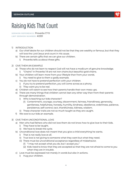

**SERMON REFERENCE:** Proverbs 1:7-9 **LWF SERMON NUMBER:** #2331

- 1) INTRODUCTION
	- a) Our chief desire for our children should not be that they are wealthy or famous, but that they will love the Lord Jesus and count in His cause.
	- b) There are certain gifts that we can give our children.
		- i) Proverbs tells us about these gifts.
- 2) GIVE THEM AN EXAMPLE
	- a) Those who do not learn to respect God will not have a modicum of genuine knowledge. i) "Chains" in Proverbs 1:9 are not iron chains but beautiful gold chains.
	- b) Your children will learn more from your lifestyle than from your words.
		- i) You need to give to them a godly example.
	- c) You do not have to pretend perfection with your children.
		- i) If you try to pretend perfection, you will come across as a phony.
		- ii) They want you to be real.
	- d) Children will watch to see how their parents handle their own mess-ups.
	- e) There are many things that children cannot lean any other way than from their parents through demonstration.
		- i) Who is teaching our kids character?
			- (1) Contentment, courage, courtesy, discernment, fairness, friendliness, generosity, gentleness, helpfulness, honesty, humility, kindness, obedience, orderliness, patience, persistence, self-control, tact, thankfulness, tidiness, wisdom.
		- ii) These character traits are not so much taught as they are caught.
	- f) We owe to our kids an example.

#### 3) GIVE THEM UNCONDITIONAL LOVE

- a) Men who had fathers who did not love them do not know how to give love to their kids.
	- i) They have to be taught.
	- ii) We have to break the cycle.
- b) Unconditional love does not meant that you give a child everything he wants.
	- i) That is not really love at all.
	- ii) True love is not giving to someone what they want but what they need.
	- iii) There must be unconditional acceptance regardless of misbehavior.
		- (1) "I may not accept what you do, but I accept you."
		- (2) Kids need to know that they are accepted so that they are not afraid to come to you when they are in trouble.
- c) Love must be expressed not merely in words but also in actions.
	- i) Hug your children.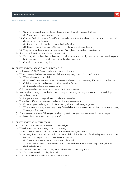

**Raising Kids That Count** | **Proverbs 1:7-9** | **#2331**

- ii) Today's generation associates physical touching with sexual intimacy. (1) They need to see beyond this.
- iii) Charles Swindoll wrote, "Unaffectionate dads, without wishing to do so, can trigger their daughter's promiscuity."
	- (1) Parents should not hold back their affection.
	- (2) Demonstrate love and affection to both sons and daughters.
- iv) They will emulate your example when God gives them their own family.
- d) Show your love to your children by sympathy.
	- i) You may think that the problems your kids have are not big problems compared to your, but they are big to the kids, and that is what matters.
	- ii) Cry with the when they hurt.
- 4) GIVE THEM CONSTANT ENCOURAGEMENT
	- a) In Proverbs 3:21-26, Solomon is encouraging his son.
	- b) When we regularly encourage a child, we are giving that child confidence.
		- i) We are blessing that child.
			- (1) One of the most common requests we have of our heavenly Father is to be blessed.
		- ii) Children need to be blessed by their earthly father.
			- (1) It needs to be encouragement.
	- c) Children need encouragement like a plant needs water.
	- d) Rather than trying to catch children doing something wrong, try to catch them doing something right.
		- i) Let your speech be positive, not always negative.
	- e) There is a difference between praise and encouragement.
		- i) For example, praising a child for making all A's or winning a game.
		- ii) When we encourage, we might say, "We did not win the game, but I saw you really trying. Thank you for that."
	- f) Encouragement says, "I love you and am grateful for you, not necessarily because you achieved, but because of who you are."
- 5) GIVE THEM WISE INSTRUCTION
	- a) The "her" in Proverbs 2:4 refers to knowledge.
	- b) Wise instruction is always joined to training.
	- c) When children are small, it is important to have family worship.
		- i) An easy form of family worship is to let a child pick a Proverb for the day, read it, and then let the child explain what they think it means.
			- (1) Then everyone else can join in and discuss it.
		- ii) When children learn the Proverbs and have to think about what they mean, that is distilled wisdom.
	- d) No one ever learned how to play football merely by reading a book.
		- i) You have to train to play football.
	- e) The prime educational institution is the home.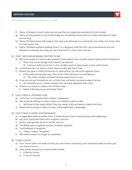

**Raising Kids That Count** | **Proverbs 1:7-9** | **#2331**

- f) Many of today's church kids cannot say that an objective standard of truth exists.
- g) Many young people in churches today do not believe that there is a fixed standard of right and wrong.
- h) Many of these same kids reason this way: just because it is wrong for you, does not mean that it is wrong for me.
- i) Many Christian parents believe that it is a disgrace that the Ten Commandments are not allowed in schools, but they do not have them in their own homes.
- 6) GIVE THEM REASONABLE RESTRICTIONS
	- a) We encourage our kids to set goals for themselves, but we also need to give them limitations.
		- i) There are some things that need to be denied.
			- (1) God put Adam and Eve in the Garden, and He gave them some restrictions.
	- b) Limitations do not bind a child; they actually set them free.
	- c) When you give a child limitations or restrictions, he will push against them.
		- i) If the restrictions give way, then that child will have no confidence.
			- (1) The child will feel unloved if those restrictions move.
	- d) If we do not put limitations on a child, they will allow someone else to do so.
		- i) No limitations on a child implies that we have rejected that child.
	- e) There is no need to make a lot of little rules.
		- i) Make a few big ones, and keep them.
- 7) GIVE THEM A LISTENING EAR
	- a) "Infirmity" in Proverbs 18:14 means "weakness."
	- b) We must be willing to listen when our children want to talk.
		- i) We have to be ready when they are ready, and we have to make the time.
	- c) Never be too busy to listen to your child, especially a teenager.
- 8) GIVE THEM A HAPPY ENVIRONMENT
	- a) A vegetable plate is better than a steak dinner if you have love, joy and happiness.
	- b) Let your home be filled with laughter and fun.
	- c) When raising kids: be firm, be fair, be fun.
	- d) The Bible warns against course, unclean laughter.
	- e) God believes in laughter.
		- i) "Isaac" means "laughter."
	- f) We need to learn to laugh at ourselves.
- 9) CONCLUSION
	- a) Your home does not exist so that you can have a business, your business exists so that you can have a home.
	- b) God wants everyone to have three homes:
		- i) A family home.
		- ii) A church home.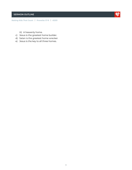#### **SERMON OUTLINE**



**Raising Kids That Count** | **Proverbs 1:7-9** | **#2331**

- iii) A heavenly home.
- c) Jesus is the greatest home builder.
- d) Satan is the greatest home wrecker.
- e) Jesus is the key to all three homes.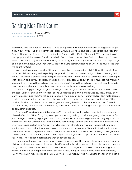

**SERMON REFERENCE:** Proverbs 1:7-9 **LWF SERMON NUMBER:** #2331

Would you find the book of Proverbs? We're going to be in the book of Proverbs all together, so get it, lay it out in your lap and study these verses with me. We're talking today about "Raising Kids that Count." One of my life verses from the book of Psalms is this, Psalm 112 verse 2, "The generation of the upright shall be blessed." And I have held God to that promise, that God will bless my children. My chief desire for my kids is not that they be wealthy, not that they be famous, not that they always be praised or whatever, but that they will love the Lord Jesus Christ and count in His cause, kids that will count for God.

Now may I ask you a question? How would you like to have a gifted child? Now, I know all of us think our children are gifted, especially our grandchildren, but how would you like to have a gifted child? Well, that's a doable thing. You just make the gifts. I want to talk to you today about some gifts that you can give to your children. The book of Proverbs tells us about these gifts, so let me mention seven of them, if you'd like to have a gifted child, okay? If you'd like to have a kid that counts or kids that count, not that can count, but that count, that will amount to something.

The first thing you ought to give them is you need to give them an example. Notice in Proverbs chapter 1 verses 7 through 9, "The fear of the Lord is the beginning of knowledge." Now if they don't learn to respect God, they're not going to have a modicum of genuine knowledge. "But fools despise wisdom and instruction. My son, hear the instruction of thy father and forsake not the law of thy mother, for they shall be an ornament of grace unto thy head and chains about thy neck." Now kids, he's not talking about an iron chain to drag you around with, he's talking about a gold chain that will be something beautiful.

And then Proverbs chapter 20 and verse 7, "The just man walks in his integrity; his children are blessed after him." Now I'm going to tell you something, folks, your kids are going to learn more from your lifestyle than they're going to learn from your words. You need to give to them a godly example. Now if that makes you nervous, let me tell you something, you don't have to pretend perfection. You know you're not perfect and I've got news for you, they already know you're not perfect. And so if you try to pretend perfection, you're going to come across as a phony. Your kids don't want to know that you're perfect. They want to know that you're real. Your kids want to know that you are genuine. They're going to be watching you to see how you handle your mess-ups. Do you ever mess up? Nod your head. There is not a parent here that doesn't mess up.

I heard about a man one time, he was going to rob a bank. He was an old farmer, couldn't pay for his food and seed and everything else. His wife was sick, his kids needed tuition. He decided the only thing he could do was rob a bank, he'd never robbed a bank, but he studied about it, thought he'd know what to do. So he got him a bag, got him a rusty old gun, wrote a note, and wrote on there, "Don't mess with me. This is a stick-up. Give me all your money." And he went to the teller, and got all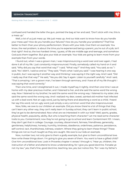

confused and handed the teller the gun, pointed the bag at her and said, "Don't stick with me, this is a mess up."

Well, a lot of us just mess up. We just mess up. And our kids want to know how do you handle your mess ups? How do you handle your failures? How do you handle your problems? That'll be better to them than your phony perfectionism. Share with your kids. Give them an example. You know, the real problem, is about the time you're experienced being a parent, you're out of a job, isn't that right? And so, the two hardest times, I guess, of life are middle age and teenage, and somehow God puts them together. But give your kids an example. Your kids are going to learn more from your example than from your words.

I found out, when I was a grown man, I was mispronouncing a word over and over again, I had done it all of my life. I just constantly mispronounced. Finally, somebody called my hand on it and said, "Why did you say that word that way?" I said, "What way?" And they said, "You said, so-so." I said, "No I didn't, I said so and so." They said, "That's what I said you said." I was hearing it one way in public, but I was saying it another way and thinking I was saying it the right way. And I said, "Did I really say that that way?" He said, "Yes you did. Say it again. Listen to yourself carefully." And I said, "That is amazing. I am a grown man, I've been through seminary, and I have all of my life thought I was saying that word correctly."

Then one time, and I straightened it out, I made myself say it rightly. And then one time I was at home with my dear precious mother, and I listened to her, and she said the same word the wrong way. Now I listened to my brother; he said the same word the wrong way. I listened to my sister; she said the same word the wrong way. And I realized my dear, sweet, sainted old mother had infected us with a bad word. Not an ugly word, just by being there and absorbing a word as a child, I heard her say this word, not an ugly word, just simply a very common word that she mispronounced.

Now, folks, we owe to our children an example. Did you know there're a lot of things that they can't learn any other way, they can't really learn in Sunday school, they can't learn in public school, they've got to be demonstrated. Now what are we interested in with our kids? Well, sports, grades, physical health, popularity, ability. But who is teaching them character? Let me read some character traits to you. Contentment; now they're not going to go to school and learn Contentment 101. I mean, they don't get that in college. Courage, courtesy, discernment, fairness, friendliness, generosity, gentleness, helpfulness, honesty, humility, kindness, obedience, orderliness, patience, persistence, self-control, tact, thankfulness, tidiness, wisdom. Where they going to learn these things? These things are not so much taught as they are caught. We owe to our kids an example.

Now, number two; not only give to them a godly example, but give to them unconditional love. Now write these things down. I'm going to give you seven of them. You want to have a gifted child? Give him unconditional love. Look in Proverbs chapter 4 verses 1 through 4, "Hear ye, children, the instruction of a father and attend to know understanding, for I give you good doctrine. Forsake ye not my law," yes, that's fine, good doctrine, teaching, law, yes, but notice this, "for I was my father's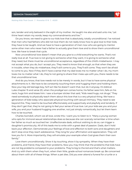**Raising Kids That Count** | **Proverbs 1:7-9** | **#2331**

son, tender and only beloved in the sight of my mother. He taught me also and said unto me, 'Let thine heart retain my words, keep my commandments and live.'"

Do you know, we need to give to our kids love that is absolutely, totally unconditional. I've noticed that men who had fathers who did not love them do not really know how to give love to their kids; they have to be taught. And we have to have a generation of men now who are going to mentor some other men who never had a father to actually give them love and to show them unconditional love. We have to break that cycle.

Now unconditional love doesn't mean that you give to a child everything he wants. That's not really love at all. True love is not giving to someone what they want, it is giving to someone what they need, but there must be unconditional acceptance, regardless of the child's misbehavior. I may not accept what you do, but I accept you. They need to know that enough, so that when they are in trouble, when they do misbehave, they'll still come to you. They'll still come. They won't be afraid to come to you. Now if they don't have a sense that my dad loves me no matter what I do, my mom loves me no matter what I do, they're not going to share their mess ups with you, there needs to be that unconditional love.

And do you know, that love needs not to be merely in words, but it has to have some physical attachments to it. We have to be constantly touching them and hugging them and holding them. Now your big old teenage boy, he'll act like he doesn't want that, but do it anyway. It's biblical. Luke chapter 15 and verse 20, when the prodigal son comes home, his father sees him, falls on his neck, hugs him and kisses him. I saw a bumper sticker that said, "Kids need hugs, not drugs." They need somebody to physically teach them about this love that is a very physical thing. We have a generation of kids today who associate physical touching with sexual intimacy. They need to see beyond this. They need to be touched affectionately and supportively and playfully and tenderly. If they don't get that, they're not going to feel your sense of true love. Let your kids see you and your wife, you and your husband hugging one another, not just simply romantically, but let them learn how to be touched.

Charles Swindoll, whom we all love, wrote this. I want you to listen to it. "Many a young woman who opts for immoral sexual relationships does so because she can scarcely remember a time when her father so much as touched her. Unaffectionate dads, without wishing to do so, can trigger a daughter's promiscuity. All of this leads me to write with a great deal of passion. Dads, don't hold back your affection. Demonstrate your feelings of love and affection to both sons and daughters and don't stop once they reach adolescence. They long for your affirmation and appreciation. They will love you for it. More importantly, they will emulate your example when God gives them their own family."

Love them unconditionally. Show it by touching, show it by sympathy. When they have their problems, and friend, they have their problems. Now you may think that the problems that kids have are not big problems compared to your problems. They're big to the kid and that's what matters. And cry with them when they hurt, when their little, grade-school romances break up. Be concerned about them with all of these things. When a pet dies. Did you ever attend a funeral for a turtle or a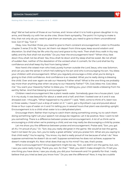#### **Raising Kids That Count** | **Proverbs 1:7-9** | **#2331**

dog? We've had some of those at our homes, and I know what it is to hold a grown daughter in my arms, and literally cry with her as she cries. Show them sympathy. The point I'm trying to make is this, that not only do you need to give them an example, you need to give to them unconditional love. Got it? Say, "Got it."

Okay, now. Number three; you need to give to them constant encouragement. Listen to Proverbs chapter 3 verse 21 to 26, "My son, let them not depart from thine eyes, keep sound wisdom and discretion. So shall they be life unto thy soul and grace to thy neck. Then shalt thou walk in thy way safely and thy foot shall not stumble." Do you hear the encouragement here? "When thou liest down thou shalt not be afraid. Yea, thou shalt lie down and thy sleep shall be sweet. Be not afraid of sudden fear, neither of the desolation of the wicked when it cometh, for the Lord shall be thy confidence and shall keep thy foot from being taken."

Now here's the wisest man who lived, purely human outside the Lord Jesus, who was Solomon, and can you see the sense in which he's talking to his son and who is encouraging his son. You bless your children with encouragement. When you regularly encourage a child, what you're doing is giving to that child confidence. And confidence is so needed. What you're really doing is blessing the child. Over and over again we ask our Heavenly Father what? What is the one thing we probably say more than anything else when we pray to our Heavenly Father? "Oh, God, bless me. God, bless me." You want your Heavenly Father to bless you. I'm telling you, your child needs a blessing from his earthly father. And that blessing is encouragement.

Children need encouragement like a plant needs water. Somebody gave me a house plant. I put it in my study. It was beautiful for about a week and a half, and then I looked over at it and it was drooped over. I thought, "What happened to my plant?" I said, "Well, come to think of it, been two or three weeks, I haven't put a drop of water on it." I went, got a Styrofoam cup and poured about three or four cups of water on it and I'm telling you in several hours that plant was standing upright. Encouragement is to a child what water is to a dehydrated plant.

Encourage them. Rather than trying to catch them doing something wrong, try to catch them doing something right! Let your speech not always be negative. Let it be positive. Now I want to tell you something. There is a difference between praise and encouragement. A lot of us think we're encouraging a child when we're praising a child, and we may really be discouraging a child by praise.

Let me show you the difference between praise and encouragement. Praise said, "Son, you got all A's. I'm proud of you." Or, "Son, boy you really did great in the game. We would've lost the game, had it not been for you. Son, you're really a great athlete," and you praise him. What are you saying to that child really? You're saying, "You know, my dad is really proud of me because of what I do." Now suppose sometimes he doesn't do so well. Suppose sometimes he does not achieve, suppose he doesn't make straight A's. Now what does that say to his mind? You see, that's praise.

What is encouragement? Encouragement might be say, "Son, we didn't win the game, but, son, I saw you were really trying. Thank you, son, for that." "Well, you didn't make straight A's. I'll tell you one thing you have done; I saw you study, you did your homework and I'm grateful for that. I really believe that you tried as best you know how." Do you see the difference? Now, it may be a subtle

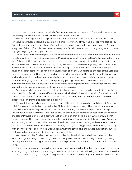**Raising Kids That Count** | **Proverbs 1:7-9** | **#2331**

thing, but learn to encourage these kids. Encouragement says, "I love you, I'm grateful for you, not necessarily because you achieved, but because of who you are."

Bill Glass was a great football player in my generation. Bill Glass goes into prisons and many times he'll ask those prisoners a question like this, "How many of you had a father who said to you, 'You will never amount to anything. One of these days you're going to end up in prison.'" Almost every one of them lifted his hand. Almost every one. "You'll never amount to anything; one of these days you're going to end up in prison."

Friend, give them an example. Give them unconditional love. Give them encouragement. Now it's time to give them wise instruction. Look in Proverbs 2 verses 1 through 7. Here's the instruction, listen to it, "My son, if thou wilt receive my words and hide my commandments with thee so that thou incline thine ear unto wisdom and apply thine, thy heart to understanding, yea, if thou criest after knowledge and liftest up thy voice for understanding, if thou seekest her," that is knowledge, "as silver and searchest for her as for hid treasures, then shalt thou understand the fear of the Lord and find the knowledge of God. For the Lord giveth wisdom, and out of His mouth cometh knowledge and understanding. He layeth up sound wisdom for the righteous and He is a buckler to them that walk uprightly." And then the corresponding passage, Proverbs 22 verse 6, "Train up a child in the way that he should go, and when he is old he'll not depart from it." Now, we give them wise instruction. But wise instruction is always joined to training.

By the way, when your children are little, it's always good to have family worship, to start the day with the Word of God. Now my wife and I've tried all kinds of things with our kids for family worship. I want to give you one of the simplest, easiest forms of family worship. I don't know why I didn't discover it a long time ago. It is such a blessing.

We just let somebody choose a proverb, one of the little children old enough to read. Or a grown child. Choose a proverb. And they take the Bible and choose a proverb. They can do it at random or at, like sometimes they do a book of Proverbs is basically the same as the number of days in the month. Choose a proverb from that particular day. If it's the seventh, choose from the seventh chapter of Proverbs, and read a proverb, just one, and let that child explain what he thinks that proverb means. Then everybody else just talk about it for a few moments. It is so simple. But what you're doing, when those children are learning those proverbs and having to think about what it means, that is distilled wisdom. That is something that's just a nugget of truth that they can carry with them to school and to work. But what I'm trying to say is, give them wise instruction, but let that instruction be joined with training. Train up a child.

Now I used to play football. You say, "You probably played without a helmet." I used to play football. I'll guarantee you one thing, friend, nobody ever learned how to play football by merely reading a book about it, right? You have to train to play football. You have to train to learn particular things.

You ever watch a man train a dog, a hunting dog? Watch a dog that has been trained. That is an amazing thing. You have to train a dog. I saw a man downtown, he had a dog on a leash, a little stick, he had a bird on a thing. I thought, "My goodness, I wonder if he has any kids? Wonder what he does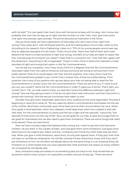#### **Raising Kids That Count** | **Proverbs 1:7-9** | **#2331**

with his kids?" If a man spent that much time with his kid as he does with his dog, I don't know, but probably that man ties his dog up at night and lets his kids run wild. Train, train, give instruction. Line upon line, precept upon precept. The prime educational institution is the home.

Did you know sadly we have a generation of kids today who don't even know right from wrong? They really don't. Josh McDowell said this, and he's talking about church kids. Listen to this. According to his research, this is frightening. Listen to it, "57% of our young people cannot even say that an objective standard of truth exists." That's church kids. "More than half of them don't even believe that there is a fixed standard of right and wrong. And 85% of our kids are liable to reason like this; 'Just because it's wrong for you doesn't mean that it is wrong for me.'" Over half, 55%, agree with this statement. 'Everything in life is negotiable.' There's in their mind no distinction between a fixed standard of right and wrong that's given in the Ten Commandments.

Let me ask you a question. How many of you think it's a disgrace that the Ten Commandments have been taken from the walls of America's schools and some are trying to remove them from public places? Most of us would agree with that. Second question; how many of you have the Ten Commandments posted in your home? Don't answer that, it'd be too embarrassing. Third question; how many of you parents who grouse about your kids not being able to read the Ten Commandments in school, know the Ten Commandments? There are some of you, if I were to pull you out, you couldn't name the Ten Commandments in order if I gave you a Ferrari. That's right, you couldn't do it. "Oh, our kids need to know, our kids don't know the difference between right and wrong!" How are they going to learn it if we do not give them wise instruction and that instruction is joined with training? And the secular humanists have taken us over.

Number five; give them reasonable restrictions. Now underscore the word reasonable. Proverbs 6 beginning in verse 20 to verse 23, "My son, keep thy father's commandment and forsake not the law of thy mother. Bind them continually upon thine heart and tie them around about thy neck. When thou goest it shall lead thee, when thou sleepest it shall keep thee, when thou wakest it shall talk with thee. For the commandment is a lamp and the law is light and the reproofs," notice this, "the reproofs of instruction are the way of life." Now, we set goals for our kids, at least encourage them to set goals for themselves, but we also need to give them limitations. There are some things that need to be denied. There are restrictions.

Now we have a society today that believes that's wrong, but I want to say that God had some children. He put them in the Garden of Eden, and God gave them some limitations. God gave some restrictions to His original pair, Adam and Eve. Limitations don't bind the child; really they set them free. When you give a child limitations, restrictions, he will push against them. If they give, that child will have no confidence whatsoever. He will feel unloved if those restrictions move, and if you don't put limitations on him, he will allow somebody else to do the same thing. It is an amazing thing. No limitation on a child implies that you have rejected that child and that's the reason so many children are conquered by somebody else.

Now, limitations today are looked on as something bad, but they're not. And sometimes we as parents need to stop trying to win popularity contests and just simply say, "There are some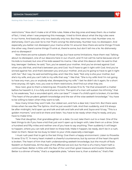#### **Raising Kids That Count** | **Proverbs 1:7-9** | **#2331**

restrictions." Now don't make a lot of little rules. Make a few big ones and keep them. As a matter of fact, I tried, when I was preparing this message, I tried to think about what the big rules were in our home. And basically only two; basically only two. But they were iron-clad. Number one; no dishonesty. Don't you ever lie to me! That's wrong! No dishonesty. Number two; no disrespect. And especially you better not disrespect your mama while I'm around. Now there are some things I'll look the other way, there's some things I'll wink at, there're some, but don't tell me a lie. No dishonesty and no disrespect!

Now there are some subsets of those things, but have some limitations. Have them real. Talking about no disrespect, one of our deacons here in our church, and I'll not call his name because one of his kids is involved, but one of his kids sassed his mama. I like what this deacon did. He said to that boy, teenager I believe, he said, "Son, you've sassed your mother. And you've sinned against God when you did that, and that's between you and God. You'll have to get it right with God. And you've sinned against her, and that's between you and your mother, and you're going to have to get it right with her." But I say, he said something else, and I like this. Said, "Not only is she your mother, but she's my wife, and you can't talk to my wife that way." I like that. "She is my wife! And I'm not going to have any man, you or anybody else, disrespecting my wife." I bet he didn't do it again, for a short time anyway. All right, now, you owe to them restrictions. And find out what they are.

Now next, give to them a listening ear. Proverbs 18 verses 13 to 15, "He that answereth a matter before he heareth it, it is a folly and shame to him. The spirit of a man will sustain his infirmity," that is, his weakness, "but a wounded spirit, who can bear?" I mean if a child's spirit is broken, it's terrible. "The heart of the prudent getteth knowledge and the ear of the wise seeketh knowledge." You have to be willing to listen when they want to talk.

Now many times they won't talk. Our oldest son, and he's a dear kid, I love him. But there were times when he was like The Sphinx. And he just wouldn't talk. And then suddenly, and it'd always be after midnight, he'd open up and talk and talk and talk and talk and Joyce and I'd say, "This is a golden moment," and we'd sit there and listen. You have to be ready when they're ready, and you have to make time.

Take that daughter, that granddaughter on a date. Go out; take them out to a meal. One of the best things to do if you have a kid that just won't open up to begin with, take them on a drive. Drive a hundred and fifty miles and neither one of you have to say anything. Then suddenly it will begin to happen, where you can talk and listen to these kids. Make it happen, be ready, don't be in a rush, listen to them. Never be too busy to listen to your child, especially a teenager.

I must rush past that to get to the last thing. Give them a happy environment. Listen to Proverbs 15 verse 13 to 17, "A merry heart maketh a cheerful countenance, but by sorrow of the heart the spirit is broken. The heart of him that hath understanding seeketh knowledge, but the mouth of fools feedeth on foolishness. All the days of the afflicted are evil, but he that is of a merry heart hath a continual feast. Better is little with the fear of the Lord than great treasure and trouble therewith. Better is a dinner of herbs," that's a vegetable plate, "where love is, than a stalled ox," that's filet

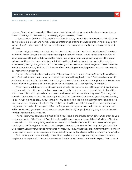

mignon, "and hatred therewith." That's what he's talking about. A vegetable plate is better than a steak dinner if you have love, if you have joy, if you have happiness.

Let your home be filled with laughter and fun. So many times kids asked my kids, "What's it like being raised in a preacher's home? Does your father go around the house preaching all day long? What's it like?" I dare say that our home is far above the average in laughter and fun and joy and silliness.

Let me tell you how to raise kids. Be firm, be fair, and be fun. And don't be ashamed if you have a sense of humor. Psychologists tell us that a good sense of humor is one of the highest signs of intelligence. And laughter lubricates the home, and let your home ring with laughter. This verse talks about those that have a broken spirit. When the string is snapped, the spark, the zest, the enthusiasm, the fight is gone. Now I'm not talking about coarse, unclean laughter. The Bible warns in Ephesians 5 verse 4, "Neither filthiness nor foolish talking nor jesting which are not convenient, but rather giving thanks."

You say, "Does God believe in laughter?" Let me give you a verse. Genesis 21 verse 6, "And Sarah said, 'God hath made me to laugh so that all that hear will laugh with me.'" God gave her a son. Do you know what she called her son? Isaac. Do you know what Isaac means? Laughter. And by the way, learn to laugh at yourself; learn to laugh at your problems. You'll have plenty to laugh at.

When I was a kid down in Florida, we had a terrible hurricane to come through and my dad was out there with the other men nailing up plywood on the windows and doing all this stuff and the wind was chilled. And my dad came in, and he shivered and all the electricity was off, and my dad came in the house and shut the door against the wind. I'm a little boy there, eyes wide, wondering, "Is our house going to blow away? Is this it?" My dad so cold. He looked at my mother and said, "I'd give five dollars for a cup of coffee." My mother went to the tap, filled the pot with water, put it on the gas stove, made him a cup of coffee. He forgot we had a gas stove. He looked at her, reached in his pocket and gave her five dollars, and we just had a big laugh, just a big laugh. Just a time of tension, just learn how to laugh.

Friend, listen, you can have a gifted child if you'll give a child these seven gifts, and I promise you on the authority of the Word of God, it'll make a difference in your home. I thank God for a Christian home. I don't know of anything any better than a Christian home. Your home doesn't exist so you can do your business; your business exists so you can have your home. And may I tell you this, that God ideally wants everybody to have three homes. You know what they are? A family home, a church home, and a heavenly home. Jesus is the greatest home builder. Satan is the greatest home wrecker.

God wants you to have a family home. Now maybe you're an orphan, maybe you're divorced, maybe you're separated. Then you need some friends who'll be sort of a family to you. That's one of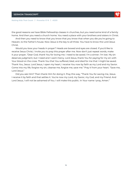#### **Raising Kids That Count** | **Proverbs 1:7-9** | **#2331**

the good reasons we have Bible Fellowship classes in churches, but you need some kind of a family home. And then you need a church home. You need a place with your brothers and sisters in Christ.

And then you need to know that you know that you know that when you die you're going to Heaven, to the Father's house. Now Jesus is the key to all three. You have to know the Lord Jesus Christ.

Would you bow your heads in prayer? Heads are bowed and eyes are closed. If you'd like to receive Jesus Christ, I invite you to pray this prayer after me. Now don't just repeat words, make it your prayer, "Dear God, thank You for loving me. I need to be saved. I'm a sinner. I'm lost. My sin deserves judgment, but I need and I want mercy. Lord Jesus, thank You for paying for my sin with Your blood on the cross. Thank You that You suffered, bled, and died for me that I might be saved. Thank You, Jesus. Lord Jesus, I open my heart, I receive You now by faith as my Lord and my Savior. Come into my life, forgive my sin, cleanse me, forgive me, save me." Pray it from your heart. "Save me, Lord Jesus."

Did you ask Him? Then thank Him for doing it. Pray this way, "Thank You for saving me, Jesus. I receive it by faith and that settles it. You're now my Lord, my Savior, my God, and my Friend. And Lord Jesus, I will not be ashamed of You. I will make this public. In Your name I pray, Amen."